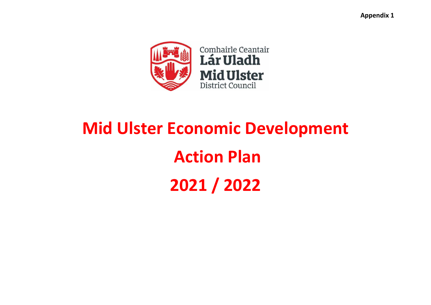**Appendix 1** 



# **Mid Ulster Economic Development Action Plan 2021 / 2022**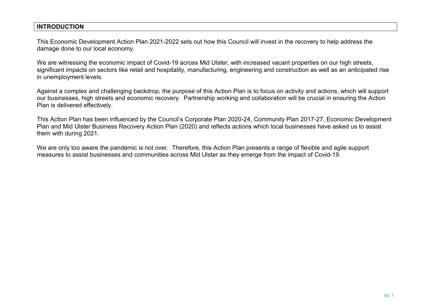#### **INTRODUCTION**

This Economic Development Action Plan 2021-2022 sets out how this Council will invest in the recovery to help address the damage done to our local economy.

We are witnessing the economic impact of Covid-19 across Mid Ulster, with increased vacant properties on our high streets, significant impacts on sectors like retail and hospitality, manufacturing, engineering and construction as well as an anticipated rise in unemployment levels.

Against a complex and challenging backdrop, the purpose of this Action Plan is to focus on activity and actions, which will support our businesses, high streets and economic recovery. Partnership working and collaboration will be crucial in ensuring the Action Plan is delivered effectively.

This Action Plan has been influenced by the Council's Corporate Plan 2020-24, Community Plan 2017-27, Economic Development Plan and Mid Ulster Business Recovery Action Plan (2020) and reflects actions which local businesses have asked us to assist them with during 2021.

We are only too aware the pandemic is not over. Therefore, this Action Plan presents a range of flexible and agile support measures to assist businesses and communities across Mid Ulster as they emerge from the impact of Covid-19.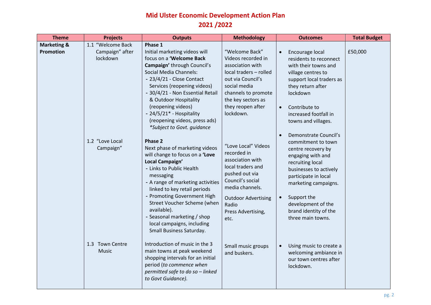## **Mid Ulster Economic Development Action Plan 2021 /2022**

| <b>Theme</b>                        | <b>Projects</b>                                                                  | <b>Outputs</b>                                                                                                                                                                                                                                                                                                                                                                                                                                                                                                                                                                                                                                                                                                                                                           | <b>Methodology</b>                                                                                                                                                                                                                                                                                                                                                                                                  | <b>Outcomes</b>                                                                                                                                                                                                                                                                                                                                                                                                                                                                                               | <b>Total Budget</b> |
|-------------------------------------|----------------------------------------------------------------------------------|--------------------------------------------------------------------------------------------------------------------------------------------------------------------------------------------------------------------------------------------------------------------------------------------------------------------------------------------------------------------------------------------------------------------------------------------------------------------------------------------------------------------------------------------------------------------------------------------------------------------------------------------------------------------------------------------------------------------------------------------------------------------------|---------------------------------------------------------------------------------------------------------------------------------------------------------------------------------------------------------------------------------------------------------------------------------------------------------------------------------------------------------------------------------------------------------------------|---------------------------------------------------------------------------------------------------------------------------------------------------------------------------------------------------------------------------------------------------------------------------------------------------------------------------------------------------------------------------------------------------------------------------------------------------------------------------------------------------------------|---------------------|
| <b>Marketing &amp;</b><br>Promotion | 1.1 "Welcome Back<br>Campaign" after<br>lockdown<br>1.2 "Love Local<br>Campaign" | Phase 1<br>Initial marketing videos will<br>focus on a 'Welcome Back<br>Campaign' through Council's<br><b>Social Media Channels:</b><br>- 23/4/21 - Close Contact<br>Services (reopening videos)<br>- 30/4/21 - Non Essential Retail<br>& Outdoor Hospitality<br>(reopening videos)<br>- $24/5/21$ * - Hospitality<br>(reopening videos, press ads)<br>*Subject to Govt. guidance<br>Phase 2<br>Next phase of marketing videos<br>will change to focus on a 'Love<br>Local Campaign'<br>- Links to Public Health<br>messaging<br>- A range of marketing activities<br>linked to key retail periods<br>- Promoting Government High<br>Street Voucher Scheme (when<br>available).<br>- Seasonal marketing / shop<br>local campaigns, including<br>Small Business Saturday. | "Welcome Back"<br>Videos recorded in<br>association with<br>local traders - rolled<br>out via Council's<br>social media<br>channels to promote<br>the key sectors as<br>they reopen after<br>lockdown.<br>"Love Local" Videos<br>recorded in<br>association with<br>local traders and<br>pushed out via<br>Council's social<br>media channels.<br><b>Outdoor Advertising</b><br>Radio<br>Press Advertising,<br>etc. | Encourage local<br>residents to reconnect<br>with their towns and<br>village centres to<br>support local traders as<br>they return after<br>lockdown<br>Contribute to<br>$\bullet$<br>increased footfall in<br>towns and villages.<br>Demonstrate Council's<br>commitment to town<br>centre recovery by<br>engaging with and<br>recruiting local<br>businesses to actively<br>participate in local<br>marketing campaigns.<br>Support the<br>development of the<br>brand identity of the<br>three main towns. | £50,000             |
|                                     | 1.3 Town Centre<br>Music                                                         | Introduction of music in the 3<br>main towns at peak weekend<br>shopping intervals for an initial<br>period (to commence when<br>permitted safe to do so - linked<br>to Govt Guidance).                                                                                                                                                                                                                                                                                                                                                                                                                                                                                                                                                                                  | Small music groups<br>and buskers.                                                                                                                                                                                                                                                                                                                                                                                  | Using music to create a<br>$\bullet$<br>welcoming ambiance in<br>our town centres after<br>lockdown.                                                                                                                                                                                                                                                                                                                                                                                                          |                     |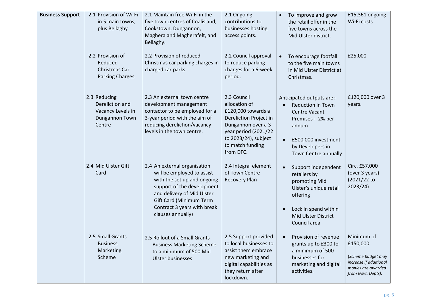| <b>Business Support</b> | 2.1 Provision of Wi-Fi<br>in 5 main towns,<br>plus Bellaghy                      | 2.1 Maintain free Wi-Fi in the<br>five town centres of Coalisland,<br>Cookstown, Dungannon,<br>Maghera and Magherafelt, and<br>Bellaghy.                                                                                             | 2.1 Ongoing<br>contributions to<br>businesses hosting<br>access points.                                                                                                             | To improve and grow<br>$\bullet$<br>the retail offer in the<br>five towns across the<br>Mid Ulster district.                                                                                             | £15,361 ongoing<br>Wi-Fi costs                                                                                     |
|-------------------------|----------------------------------------------------------------------------------|--------------------------------------------------------------------------------------------------------------------------------------------------------------------------------------------------------------------------------------|-------------------------------------------------------------------------------------------------------------------------------------------------------------------------------------|----------------------------------------------------------------------------------------------------------------------------------------------------------------------------------------------------------|--------------------------------------------------------------------------------------------------------------------|
|                         | 2.2 Provision of<br>Reduced<br>Christmas Car<br><b>Parking Charges</b>           | 2.2 Provision of reduced<br>Christmas car parking charges in<br>charged car parks.                                                                                                                                                   | 2.2 Council approval<br>to reduce parking<br>charges for a 6-week<br>period.                                                                                                        | To encourage footfall<br>$\bullet$<br>to the five main towns<br>in Mid Ulster District at<br>Christmas.                                                                                                  | £25,000                                                                                                            |
|                         | 2.3 Reducing<br>Dereliction and<br>Vacancy Levels in<br>Dungannon Town<br>Centre | 2.3 An external town centre<br>development management<br>contactor to be employed for a<br>3-year period with the aim of<br>reducing dereliction/vacancy<br>levels in the town centre.                                               | 2.3 Council<br>allocation of<br>£120,000 towards a<br>Dereliction Project in<br>Dungannon over a 3<br>year period (2021/22<br>to 2023/24), subject<br>to match funding<br>from DFC. | Anticipated outputs are:-<br><b>Reduction in Town</b><br>$\bullet$<br><b>Centre Vacant</b><br>Premises - 2% per<br>annum<br>£500,000 investment<br>$\bullet$<br>by Developers in<br>Town Centre annually | £120,000 over 3<br>years.                                                                                          |
|                         | 2.4 Mid Ulster Gift<br>Card                                                      | 2.4 An external organisation<br>will be employed to assist<br>with the set up and ongoing<br>support of the development<br>and delivery of Mid Ulster<br>Gift Card (Minimum Term<br>Contract 3 years with break<br>clauses annually) | 2.4 Integral element<br>of Town Centre<br><b>Recovery Plan</b>                                                                                                                      | Support independent<br>$\bullet$<br>retailers by<br>promoting Mid<br>Ulster's unique retail<br>offering<br>Lock in spend within<br>$\bullet$<br>Mid Ulster District<br>Council area                      | Circ. £57,000<br>(over 3 years)<br>(2021/22 to<br>2023/24)                                                         |
|                         | 2.5 Small Grants<br><b>Business</b><br>Marketing<br>Scheme                       | 2.5 Rollout of a Small Grants<br><b>Business Marketing Scheme</b><br>to a minimum of 500 Mid<br><b>Ulster businesses</b>                                                                                                             | 2.5 Support provided<br>to local businesses to<br>assist them embrace<br>new marketing and<br>digital capabilities as<br>they return after<br>lockdown.                             | Provision of revenue<br>$\bullet$<br>grants up to £300 to<br>a minimum of 500<br>businesses for<br>marketing and digital<br>activities.                                                                  | Minimum of<br>£150,000<br>(Scheme budget may<br>increase if additional<br>monies are awarded<br>from Govt. Depts). |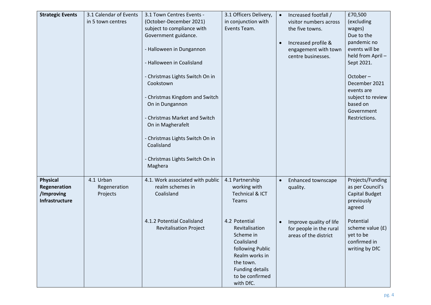| <b>Strategic Events</b> | 3.1 Calendar of Events | 3.1 Town Centres Events -                          | 3.1 Officers Delivery,             | $\bullet$ | Increased footfall /    | £70,500                |
|-------------------------|------------------------|----------------------------------------------------|------------------------------------|-----------|-------------------------|------------------------|
|                         | in 5 town centres      | (October-December 2021)                            | in conjunction with                |           | visitor numbers across  | (excluding             |
|                         |                        | subject to compliance with<br>Government guidance. | Events Team.                       |           | the five towns.         | wages)<br>Due to the   |
|                         |                        |                                                    |                                    | $\bullet$ | Increased profile &     | pandemic no            |
|                         |                        | - Halloween in Dungannon                           |                                    |           | engagement with town    | events will be         |
|                         |                        |                                                    |                                    |           | centre businesses.      | held from April-       |
|                         |                        | - Halloween in Coalisland                          |                                    |           |                         | Sept 2021.             |
|                         |                        | - Christmas Lights Switch On in                    |                                    |           |                         | $October -$            |
|                         |                        | Cookstown                                          |                                    |           |                         | December 2021          |
|                         |                        |                                                    |                                    |           |                         | events are             |
|                         |                        | - Christmas Kingdom and Switch                     |                                    |           |                         | subject to review      |
|                         |                        | On in Dungannon                                    |                                    |           |                         | based on<br>Government |
|                         |                        | - Christmas Market and Switch                      |                                    |           |                         | Restrictions.          |
|                         |                        | On in Magherafelt                                  |                                    |           |                         |                        |
|                         |                        |                                                    |                                    |           |                         |                        |
|                         |                        | - Christmas Lights Switch On in<br>Coalisland      |                                    |           |                         |                        |
|                         |                        |                                                    |                                    |           |                         |                        |
|                         |                        | - Christmas Lights Switch On in                    |                                    |           |                         |                        |
|                         |                        | Maghera                                            |                                    |           |                         |                        |
| <b>Physical</b>         | 4.1 Urban              | 4.1. Work associated with public                   | 4.1 Partnership                    | $\bullet$ | Enhanced townscape      | Projects/Funding       |
| Regeneration            | Regeneration           | realm schemes in                                   | working with                       |           | quality.                | as per Council's       |
| /Improving              | Projects               | Coalisland                                         | <b>Technical &amp; ICT</b>         |           |                         | Capital Budget         |
| Infrastructure          |                        |                                                    | Teams                              |           |                         | previously             |
|                         |                        |                                                    |                                    |           |                         | agreed                 |
|                         |                        | 4.1.2 Potential Coalisland                         | 4.2 Potential                      |           | Improve quality of life | Potential              |
|                         |                        | <b>Revitalisation Project</b>                      | Revitalisation                     |           | for people in the rural | scheme value (£)       |
|                         |                        |                                                    | Scheme in                          |           | areas of the district   | yet to be              |
|                         |                        |                                                    | Coalisland                         |           |                         | confirmed in           |
|                         |                        |                                                    | following Public<br>Realm works in |           |                         | writing by DfC         |
|                         |                        |                                                    | the town.                          |           |                         |                        |
|                         |                        |                                                    | <b>Funding details</b>             |           |                         |                        |
|                         |                        |                                                    | to be confirmed                    |           |                         |                        |
|                         |                        |                                                    | with DfC.                          |           |                         |                        |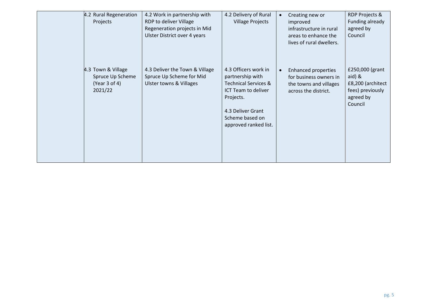| 4.2 Rural Regeneration<br>Projects                                 | 4.2 Work in partnership with<br>RDP to deliver Village<br>Regeneration projects in Mid<br>Ulster District over 4 years | 4.2 Delivery of Rural<br><b>Village Projects</b>                                                                                                                                 | Creating new or<br>improved<br>infrastructure in rural<br>areas to enhance the<br>lives of rural dwellers. | RDP Projects &<br>Funding already<br>agreed by<br>Council                                      |
|--------------------------------------------------------------------|------------------------------------------------------------------------------------------------------------------------|----------------------------------------------------------------------------------------------------------------------------------------------------------------------------------|------------------------------------------------------------------------------------------------------------|------------------------------------------------------------------------------------------------|
| 4.3 Town & Village<br>Spruce Up Scheme<br>(Year 3 of 4)<br>2021/22 | 4.3 Deliver the Town & Village<br>Spruce Up Scheme for Mid<br><b>Ulster towns &amp; Villages</b>                       | 4.3 Officers work in<br>partnership with<br><b>Technical Services &amp;</b><br>ICT Team to deliver<br>Projects.<br>4.3 Deliver Grant<br>Scheme based on<br>approved ranked list. | <b>Enhanced properties</b><br>for business owners in<br>the towns and villages<br>across the district.     | £250,000 (grant<br>$aid)$ $&$<br>£8,200 (architect<br>fees) previously<br>agreed by<br>Council |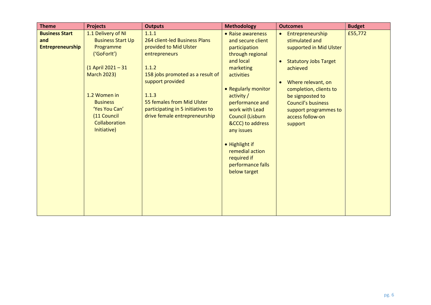| <b>Theme</b>                                            | <b>Projects</b>                                                                                                                                                                                                           | <b>Outputs</b>                                                                                                                                                                                                                                                  | <b>Methodology</b>                                                                                                                                                                                                                                                                                                                           | <b>Outcomes</b>                                                                                                                                                                                                                                                                                           | <b>Budget</b> |
|---------------------------------------------------------|---------------------------------------------------------------------------------------------------------------------------------------------------------------------------------------------------------------------------|-----------------------------------------------------------------------------------------------------------------------------------------------------------------------------------------------------------------------------------------------------------------|----------------------------------------------------------------------------------------------------------------------------------------------------------------------------------------------------------------------------------------------------------------------------------------------------------------------------------------------|-----------------------------------------------------------------------------------------------------------------------------------------------------------------------------------------------------------------------------------------------------------------------------------------------------------|---------------|
| <b>Business Start</b><br>and<br><b>Entrepreneurship</b> | 1.1 Delivery of NI<br><b>Business Start Up</b><br>Programme<br>('GoForlt')<br>(1 April 2021 - 31<br><b>March 2023)</b><br>1.2 Women in<br><b>Business</b><br>'Yes You Can'<br>(11 Council<br>Collaboration<br>Initiative) | 1.1.1<br>264 client-led Business Plans<br>provided to Mid Ulster<br>entrepreneurs<br>1.1.2<br>158 jobs promoted as a result of<br>support provided<br>1.1.3<br>55 females from Mid Ulster<br>participating in 5 initiatives to<br>drive female entrepreneurship | • Raise awareness<br>and secure client<br>participation<br>through regional<br>and local<br>marketing<br>activities<br>• Regularly monitor<br>activity /<br>performance and<br>work with Lead<br>Council (Lisburn<br>&CCC) to address<br>any issues<br>• Highlight if<br>remedial action<br>required if<br>performance falls<br>below target | Entrepreneurship<br>$\bullet$<br>stimulated and<br>supported in Mid Ulster<br><b>Statutory Jobs Target</b><br>$\bullet$<br>achieved<br>Where relevant, on<br>$\bullet$<br>completion, clients to<br>be signposted to<br><b>Council's business</b><br>support programmes to<br>access follow-on<br>support | £55,772       |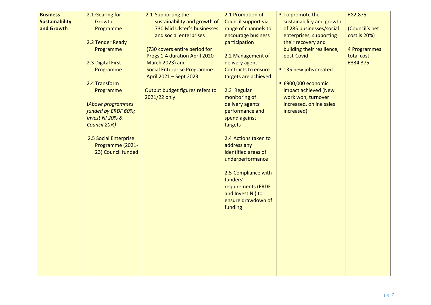| <b>Business</b>       | 2.1 Gearing for       | 2.1 Supporting the                 | 2.1 Promotion of     | ■ To promote the           | £82,875        |
|-----------------------|-----------------------|------------------------------------|----------------------|----------------------------|----------------|
| <b>Sustainability</b> | Growth                | sustainability and growth of       | Council support via  | sustainability and growth  |                |
| and Growth            | Programme             | 730 Mid Ulster's businesses        | range of channels to | of 285 businesses/social   | (Council's net |
|                       |                       | and social enterprises             | encourage business   | enterprises, supporting    | cost is 20%)   |
|                       | 2.2 Tender Ready      |                                    | participation        | their recovery and         |                |
|                       | Programme             | (730 covers entire period for      |                      | building their resilience, | 4 Programmes   |
|                       |                       | Progs 1-4 duration April 2020 -    | 2.2 Management of    | post-Covid                 | total cost     |
|                       | 2.3 Digital First     | March 2023) and                    | delivery agent       |                            | £334,375       |
|                       | Programme             | <b>Social Enterprise Programme</b> | Contracts to ensure  | ■ 135 new jobs created     |                |
|                       |                       | April 2021 - Sept 2023             | targets are achieved |                            |                |
|                       | 2.4 Transform         |                                    |                      | ■ £900,000 economic        |                |
|                       | Programme             | Output budget figures refers to    | 2.3 Regular          | impact achieved (New       |                |
|                       |                       | 2021/22 only                       | monitoring of        | work won, turnover         |                |
|                       | (Above programmes     |                                    | delivery agents'     | increased, online sales    |                |
|                       | funded by ERDF 60%;   |                                    | performance and      | increased)                 |                |
|                       | Invest NI 20% &       |                                    | spend against        |                            |                |
|                       | Council 20%)          |                                    | targets              |                            |                |
|                       | 2.5 Social Enterprise |                                    | 2.4 Actions taken to |                            |                |
|                       | Programme (2021-      |                                    | address any          |                            |                |
|                       | 23) Council funded    |                                    | identified areas of  |                            |                |
|                       |                       |                                    | underperformance     |                            |                |
|                       |                       |                                    | 2.5 Compliance with  |                            |                |
|                       |                       |                                    | funders'             |                            |                |
|                       |                       |                                    | requirements (ERDF   |                            |                |
|                       |                       |                                    | and Invest NI) to    |                            |                |
|                       |                       |                                    | ensure drawdown of   |                            |                |
|                       |                       |                                    | funding              |                            |                |
|                       |                       |                                    |                      |                            |                |
|                       |                       |                                    |                      |                            |                |
|                       |                       |                                    |                      |                            |                |
|                       |                       |                                    |                      |                            |                |
|                       |                       |                                    |                      |                            |                |
|                       |                       |                                    |                      |                            |                |
|                       |                       |                                    |                      |                            |                |
|                       |                       |                                    |                      |                            |                |
|                       |                       |                                    |                      |                            |                |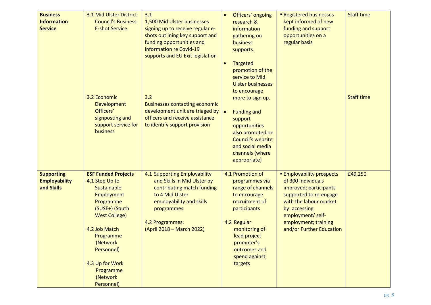| <b>Business</b>                                         | 3.1 Mid Ulster District                                                                                                                                                                                                                            | 3.1                                                                                                                                                                                                    | Officers' ongoing                                                                                                                                                                                                                                                                    | Registered businesses                                                                                                                                                                                                        | <b>Staff time</b> |
|---------------------------------------------------------|----------------------------------------------------------------------------------------------------------------------------------------------------------------------------------------------------------------------------------------------------|--------------------------------------------------------------------------------------------------------------------------------------------------------------------------------------------------------|--------------------------------------------------------------------------------------------------------------------------------------------------------------------------------------------------------------------------------------------------------------------------------------|------------------------------------------------------------------------------------------------------------------------------------------------------------------------------------------------------------------------------|-------------------|
| <b>Information</b><br><b>Service</b>                    | <b>Council's Business</b><br><b>E-shot Service</b>                                                                                                                                                                                                 | 1,500 Mid Ulster businesses<br>signing up to receive regular e-<br>shots outlining key support and<br>funding opportunities and<br>information re Covid-19<br>supports and EU Exit legislation         | research &<br>information<br>gathering on<br>business<br>supports.                                                                                                                                                                                                                   | kept informed of new<br>funding and support<br>opportunities on a<br>regular basis                                                                                                                                           |                   |
|                                                         | 3.2 Economic<br><b>Development</b><br>Officers'<br>signposting and<br>support service for<br>business                                                                                                                                              | 3.2<br><b>Businesses contacting economic</b><br>development unit are triaged by $\vert \bullet \vert$<br>officers and receive assistance<br>to identify support provision                              | <b>Targeted</b><br>$\bullet$<br>promotion of the<br>service to Mid<br><b>Ulster businesses</b><br>to encourage<br>more to sign up.<br><b>Funding and</b><br>support<br>opportunities<br>also promoted on<br>Council's website<br>and social media<br>channels (where<br>appropriate) |                                                                                                                                                                                                                              | <b>Staff time</b> |
| <b>Supporting</b><br><b>Employability</b><br>and Skills | <b>ESF Funded Projects</b><br>4.1 Step Up to<br>Sustainable<br>Employment<br>Programme<br>(SUSE+) (South<br><b>West College)</b><br>4.2 Job Match<br>Programme<br>(Network<br>Personnel)<br>4.3 Up for Work<br>Programme<br>(Network<br>Personnel) | 4.1 Supporting Employability<br>and Skills in Mid Ulster by<br>contributing match funding<br>to 4 Mid Ulster<br>employability and skills<br>programmes<br>4.2 Programmes:<br>(April 2018 – March 2022) | 4.1 Promotion of<br>programmes via<br>range of channels<br>to encourage<br>recruitment of<br>participants<br>4.2 Regular<br>monitoring of<br>lead project<br>promoter's<br>outcomes and<br>spend against<br>targets                                                                  | <b>Employability prospects</b><br>of 300 individuals<br>improved; participants<br>supported to re-engage<br>with the labour market<br>by: accessing<br>employment/ self-<br>employment; training<br>and/or Further Education | £49,250           |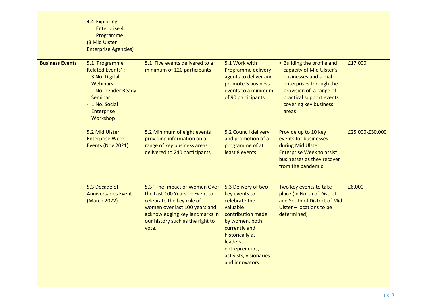|                        | 4.4 Exploring<br><b>Enterprise 4</b><br>Programme<br>(3 Mid Ulster<br><b>Enterprise Agencies)</b>                                                                     |                                                                                                                                                                                                              |                                                                                                                                                                                                                         |                                                                                                                                                                                                          |                 |
|------------------------|-----------------------------------------------------------------------------------------------------------------------------------------------------------------------|--------------------------------------------------------------------------------------------------------------------------------------------------------------------------------------------------------------|-------------------------------------------------------------------------------------------------------------------------------------------------------------------------------------------------------------------------|----------------------------------------------------------------------------------------------------------------------------------------------------------------------------------------------------------|-----------------|
| <b>Business Events</b> | 5.1 'Programme<br><b>Related Events':</b><br>- 3 No. Digital<br><b>Webinars</b><br>- 1 No. Tender Ready<br>Seminar<br>- 1 No. Social<br><b>Enterprise</b><br>Workshop | 5.1 Five events delivered to a<br>minimum of 120 participants                                                                                                                                                | 5.1 Work with<br>Programme delivery<br>agents to deliver and<br>promote 5 business<br>events to a minimum<br>of 90 participants                                                                                         | <b>Building the profile and</b><br>capacity of Mid Ulster's<br>businesses and social<br>enterprises through the<br>provision of a range of<br>practical support events<br>covering key business<br>areas | £17,000         |
|                        | 5.2 Mid Ulster<br><b>Enterprise Week</b><br>Events (Nov 2021)                                                                                                         | 5.2 Minimum of eight events<br>providing information on a<br>range of key business areas<br>delivered to 240 participants                                                                                    | 5.2 Council delivery<br>and promotion of a<br>programme of at<br>least 8 events                                                                                                                                         | Provide up to 10 key<br>events for businesses<br>during Mid Ulster<br><b>Enterprise Week to assist</b><br>businesses as they recover<br>from the pandemic                                                | £25,000-£30,000 |
|                        | 5.3 Decade of<br><b>Anniversaries Event</b><br>(March 2022)                                                                                                           | 5.3 "The Impact of Women Over<br>the Last 100 Years" - Event to<br>celebrate the key role of<br>women over last 100 years and<br>acknowledging key landmarks in<br>our history such as the right to<br>vote. | 5.3 Delivery of two<br>key events to<br>celebrate the<br>valuable<br>contribution made<br>by women, both<br>currently and<br>historically as<br>leaders,<br>entrepreneurs,<br>activists, visionaries<br>and innovators. | Two key events to take<br>place (in North of District<br>and South of District of Mid<br>Ulster - locations to be<br>determined)                                                                         | £6,000          |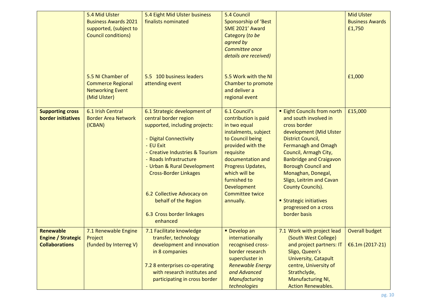|                                                                        | 5.4 Mid Ulster<br><b>Business Awards 2021</b><br>supported, (subject to<br><b>Council conditions)</b> | 5.4 Eight Mid Ulster business<br>finalists nominated                                                                                                                                                                                                                                                                                                      | 5.4 Council<br>Sponsorship of 'Best<br>SME 2021' Award<br>Category (to be<br>agreed by<br>Committee once<br>details are received)                                                                                                                                           |                                                                                                                                                                                                                                                                                                                                                                                                         | <b>Mid Ulster</b><br><b>Business Awards</b><br>£1,750 |
|------------------------------------------------------------------------|-------------------------------------------------------------------------------------------------------|-----------------------------------------------------------------------------------------------------------------------------------------------------------------------------------------------------------------------------------------------------------------------------------------------------------------------------------------------------------|-----------------------------------------------------------------------------------------------------------------------------------------------------------------------------------------------------------------------------------------------------------------------------|---------------------------------------------------------------------------------------------------------------------------------------------------------------------------------------------------------------------------------------------------------------------------------------------------------------------------------------------------------------------------------------------------------|-------------------------------------------------------|
|                                                                        | 5.5 NI Chamber of<br><b>Commerce Regional</b><br><b>Networking Event</b><br>(Mid Ulster)              | 5.5 100 business leaders<br>attending event                                                                                                                                                                                                                                                                                                               | 5.5 Work with the NI<br>Chamber to promote<br>and deliver a<br>regional event                                                                                                                                                                                               |                                                                                                                                                                                                                                                                                                                                                                                                         | £1,000                                                |
| <b>Supporting cross</b><br><b>border initiatives</b>                   | 6.1 Irish Central<br><b>Border Area Network</b><br>(ICBAN)                                            | 6.1 Strategic development of<br>central border region<br>supported, including projects:<br>- Digital Connectivity<br>- EU Exit<br>- Creative Industries & Tourism<br>- Roads Infrastructure<br>- Urban & Rural Development<br><b>Cross-Border Linkages</b><br>6.2 Collective Advocacy on<br>behalf of the Region<br>6.3 Cross border linkages<br>enhanced | 6.1 Council's<br>contribution is paid<br>in two equal<br>instalments, subject<br>to Council being<br>provided with the<br>requisite<br>documentation and<br>Progress Updates,<br>which will be<br>furnished to<br><b>Development</b><br><b>Committee twice</b><br>annually. | <b>Eight Councils from north</b><br>and south involved in<br>cross border<br>development (Mid Ulster<br><b>District Council,</b><br><b>Fermanagh and Omagh</b><br>Council, Armagh City,<br><b>Banbridge and Craigavon</b><br><b>Borough Council and</b><br>Monaghan, Donegal,<br>Sligo, Leitrim and Cavan<br><b>County Councils).</b><br>Strategic initiatives<br>progressed on a cross<br>border basis | £15,000                                               |
| <b>Renewable</b><br><b>Engine / Strategic</b><br><b>Collaborations</b> | 7.1 Renewable Engine<br>Project<br>(funded by Interreg V)                                             | 7.1 Facilitate knowledge<br>transfer, technology<br>development and innovation<br>in 8 companies<br>7.2 8 enterprises co-operating<br>with research institutes and<br>participating in cross border                                                                                                                                                       | Develop an<br>internationally<br>recognised cross-<br>border research<br>supercluster in<br><b>Renewable Energy</b><br>and Advanced<br><b>Manufacturing</b><br>technologies                                                                                                 | 7.1 Work with project lead<br>(South West College)<br>and project partners: IT<br>Sligo, Queen's<br>University, Catapult<br>centre, University of<br>Strathclyde,<br><b>Manufacturing NI,</b><br><b>Action Renewables.</b>                                                                                                                                                                              | <b>Overall budget</b><br>€6.1m $(2017-21)$            |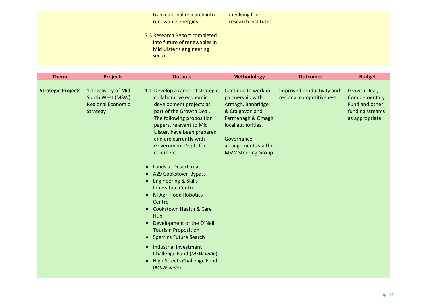| transnational research into<br>renewable energies                                                   | involving four<br>research institutes. |  |
|-----------------------------------------------------------------------------------------------------|----------------------------------------|--|
| 7.3 Research Report completed<br>into future of renewables in<br>Mid Ulster's engineering<br>sector |                                        |  |

| <b>Theme</b>              | <b>Projects</b>                                                                 | <b>Outputs</b>                                                                                                                                                                                                                                                                                                                                                                                                                                                                                                                                                                                                                                                                                                                                                                                           | <b>Methodology</b>                                                                                                                                                                            | <b>Outcomes</b>                                       | <b>Budget</b>                                                                         |
|---------------------------|---------------------------------------------------------------------------------|----------------------------------------------------------------------------------------------------------------------------------------------------------------------------------------------------------------------------------------------------------------------------------------------------------------------------------------------------------------------------------------------------------------------------------------------------------------------------------------------------------------------------------------------------------------------------------------------------------------------------------------------------------------------------------------------------------------------------------------------------------------------------------------------------------|-----------------------------------------------------------------------------------------------------------------------------------------------------------------------------------------------|-------------------------------------------------------|---------------------------------------------------------------------------------------|
| <b>Strategic Projects</b> | 1.1 Delivery of Mid<br>South West (MSW)<br><b>Regional Economic</b><br>Strategy | 1.1 Develop a range of strategic<br>collaborative economic<br>development projects as<br>part of the Growth Deal.<br>The following proposition<br>papers, relevant to Mid<br>Ulster, have been prepared<br>and are currently with<br><b>Government Depts for</b><br>comment.<br>Lands at Desertcreat<br>$\bullet$<br><b>A29 Cookstown Bypass</b><br>$\bullet$<br><b>Engineering &amp; Skills</b><br>$\bullet$<br><b>Innovation Centre</b><br>NI Agri-Food Robotics<br>$\bullet$<br>Centre<br><b>Cookstown Health &amp; Care</b><br>$\bullet$<br>Hub<br>Development of the O'Neill<br><b>Tourism Proposition</b><br><b>Sperrins Future Search</b><br>$\bullet$<br><b>Industrial Investment</b><br>$\bullet$<br>Challenge Fund (MSW wide)<br><b>High Streets Challenge Fund</b><br>$\bullet$<br>(MSW wide) | Continue to work in<br>partnership with<br>Armagh, Banbridge<br>& Craigavon and<br>Fermanagh & Omagh<br>local authorities.<br>Governance<br>arrangements via the<br><b>MSW Steering Group</b> | Improved productivity and<br>regional competitiveness | Growth Deal,<br>Complementary<br>Fund and other<br>funding streams<br>as appropriate. |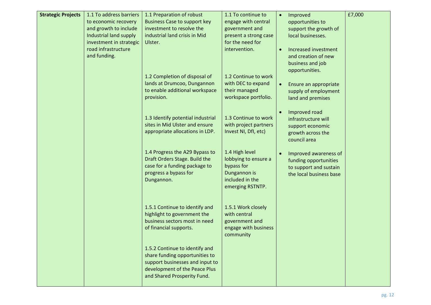| <b>Strategic Projects</b> | 1.1 To address barriers | 1.1 Preparation of robust                                           | 1.1 To continue to                            | $\bullet$ | Improved                           | £7,000 |
|---------------------------|-------------------------|---------------------------------------------------------------------|-----------------------------------------------|-----------|------------------------------------|--------|
|                           | to economic recovery    | <b>Business Case to support key</b>                                 | engage with central                           |           | opportunities to                   |        |
|                           | and growth to include   | investment to resolve the                                           | government and                                |           | support the growth of              |        |
|                           | Industrial land supply  | industrial land crisis in Mid                                       | present a strong case                         |           | local businesses.                  |        |
|                           | investment in strategic | Ulster.                                                             | for the need for                              |           |                                    |        |
|                           | road infrastructure     |                                                                     | intervention.                                 |           | Increased investment               |        |
|                           | and funding.            |                                                                     |                                               |           | and creation of new                |        |
|                           |                         |                                                                     |                                               |           | business and job<br>opportunities. |        |
|                           |                         | 1.2 Completion of disposal of                                       | 1.2 Continue to work                          |           |                                    |        |
|                           |                         | lands at Drumcoo, Dungannon                                         | with DEC to expand                            | $\bullet$ | Ensure an appropriate              |        |
|                           |                         | to enable additional workspace                                      | their managed                                 |           | supply of employment               |        |
|                           |                         | provision.                                                          | workspace portfolio.                          |           | land and premises                  |        |
|                           |                         |                                                                     |                                               |           |                                    |        |
|                           |                         |                                                                     |                                               |           | Improved road                      |        |
|                           |                         | 1.3 Identify potential industrial<br>sites in Mid Ulster and ensure | 1.3 Continue to work                          |           | infrastructure will                |        |
|                           |                         | appropriate allocations in LDP.                                     | with project partners<br>Invest NI, DfI, etc) |           | support economic                   |        |
|                           |                         |                                                                     |                                               |           | growth across the<br>council area  |        |
|                           |                         |                                                                     |                                               |           |                                    |        |
|                           |                         | 1.4 Progress the A29 Bypass to                                      | 1.4 High level                                |           | Improved awareness of              |        |
|                           |                         | Draft Orders Stage. Build the                                       | lobbying to ensure a                          |           | funding opportunities              |        |
|                           |                         | case for a funding package to                                       | bypass for                                    |           | to support and sustain             |        |
|                           |                         | progress a bypass for                                               | Dungannon is                                  |           | the local business base            |        |
|                           |                         | Dungannon.                                                          | included in the<br>emerging RSTNTP.           |           |                                    |        |
|                           |                         |                                                                     |                                               |           |                                    |        |
|                           |                         |                                                                     |                                               |           |                                    |        |
|                           |                         | 1.5.1 Continue to identify and                                      | 1.5.1 Work closely                            |           |                                    |        |
|                           |                         | highlight to government the                                         | with central                                  |           |                                    |        |
|                           |                         | business sectors most in need                                       | government and                                |           |                                    |        |
|                           |                         | of financial supports.                                              | engage with business                          |           |                                    |        |
|                           |                         |                                                                     | community                                     |           |                                    |        |
|                           |                         | 1.5.2 Continue to identify and                                      |                                               |           |                                    |        |
|                           |                         | share funding opportunities to                                      |                                               |           |                                    |        |
|                           |                         | support businesses and input to                                     |                                               |           |                                    |        |
|                           |                         | development of the Peace Plus                                       |                                               |           |                                    |        |
|                           |                         | and Shared Prosperity Fund.                                         |                                               |           |                                    |        |
|                           |                         |                                                                     |                                               |           |                                    |        |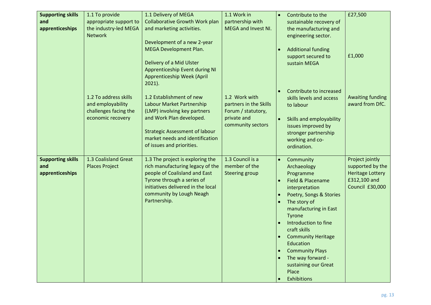| <b>Supporting skills</b>        | 1.1 To provide                                | 1.1 Delivery of MEGA                                                     | 1.1 Work in                       | $\bullet$ | Contribute to the                            | £27,500                             |
|---------------------------------|-----------------------------------------------|--------------------------------------------------------------------------|-----------------------------------|-----------|----------------------------------------------|-------------------------------------|
| and                             | appropriate support to                        | <b>Collaborative Growth Work plan</b>                                    | partnership with                  |           | sustainable recovery of                      |                                     |
| apprenticeships                 | the industry-led MEGA<br><b>Network</b>       | and marketing activities.                                                | MEGA and Invest NI.               |           | the manufacturing and<br>engineering sector. |                                     |
|                                 |                                               | Development of a new 2-year                                              |                                   |           |                                              |                                     |
|                                 |                                               | <b>MEGA Development Plan.</b>                                            |                                   |           | <b>Additional funding</b>                    |                                     |
|                                 |                                               | Delivery of a Mid Ulster                                                 |                                   |           | support secured to<br>sustain MEGA           | £1,000                              |
|                                 |                                               | Apprenticeship Event during NI                                           |                                   |           |                                              |                                     |
|                                 |                                               | Apprenticeship Week (April                                               |                                   |           |                                              |                                     |
|                                 |                                               | $2021$ ).                                                                |                                   |           |                                              |                                     |
|                                 | 1.2 To address skills                         | 1.2 Establishment of new                                                 | 1.2 Work with                     |           | Contribute to increased                      | <b>Awaiting funding</b>             |
|                                 | and employability                             | Labour Market Partnership                                                | partners in the Skills            |           | skills levels and access<br>to labour        | award from DfC.                     |
|                                 | challenges facing the                         | (LMP) involving key partners                                             | Forum / statutory,                |           |                                              |                                     |
|                                 | economic recovery                             | and Work Plan developed.                                                 | private and                       |           | Skills and employability                     |                                     |
|                                 |                                               |                                                                          | community sectors                 |           | issues improved by                           |                                     |
|                                 |                                               | <b>Strategic Assessment of labour</b><br>market needs and identification |                                   |           | stronger partnership<br>working and co-      |                                     |
|                                 |                                               | of issues and priorities.                                                |                                   |           | ordination.                                  |                                     |
|                                 |                                               |                                                                          |                                   |           |                                              |                                     |
| <b>Supporting skills</b><br>and | 1.3 Coalisland Great<br><b>Places Project</b> | 1.3 The project is exploring the<br>rich manufacturing legacy of the     | 1.3 Council is a<br>member of the | $\bullet$ | Community                                    | Project jointly<br>supported by the |
| apprenticeships                 |                                               | people of Coalisland and East                                            | <b>Steering group</b>             |           | Archaeology<br>Programme                     | <b>Heritage Lottery</b>             |
|                                 |                                               | Tyrone through a series of                                               |                                   | $\bullet$ | Field & Placename                            | £312,100 and                        |
|                                 |                                               | initiatives delivered in the local                                       |                                   |           | interpretation                               | Council £30,000                     |
|                                 |                                               | community by Lough Neagh                                                 |                                   |           | Poetry, Songs & Stories                      |                                     |
|                                 |                                               | Partnership.                                                             |                                   | $\bullet$ | The story of                                 |                                     |
|                                 |                                               |                                                                          |                                   |           | manufacturing in East<br><b>Tyrone</b>       |                                     |
|                                 |                                               |                                                                          |                                   |           | Introduction to fine                         |                                     |
|                                 |                                               |                                                                          |                                   |           | craft skills                                 |                                     |
|                                 |                                               |                                                                          |                                   |           | <b>Community Heritage</b>                    |                                     |
|                                 |                                               |                                                                          |                                   |           | Education<br><b>Community Plays</b>          |                                     |
|                                 |                                               |                                                                          |                                   |           | The way forward -                            |                                     |
|                                 |                                               |                                                                          |                                   |           | sustaining our Great                         |                                     |
|                                 |                                               |                                                                          |                                   |           | Place                                        |                                     |
|                                 |                                               |                                                                          |                                   |           | Exhibitions                                  |                                     |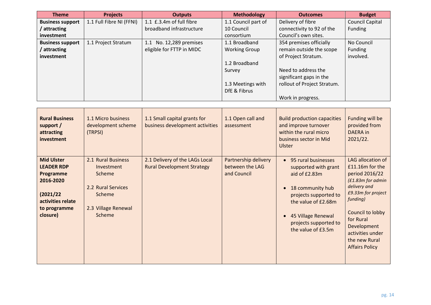| <b>Theme</b>            | <b>Projects</b>          | <b>Outputs</b>             | <b>Methodology</b>   | <b>Outcomes</b>             | <b>Budget</b>   |
|-------------------------|--------------------------|----------------------------|----------------------|-----------------------------|-----------------|
| <b>Business support</b> | 1.1 Full Fibre NI (FFNI) | 1.1 £.3.4m of full fibre   | 1.1 Council part of  | Delivery of fibre           | Council Capital |
| attracting              |                          | broadband infrastructure   | 10 Council           | connectivity to 92 of the   | Funding         |
| investment              |                          |                            | consortium           | Council's own sites.        |                 |
| <b>Business support</b> | 1.1 Project Stratum      | No. 12,289 premises<br>1.1 | 1.1 Broadband        | 354 premises officially     | No Council      |
| attracting              |                          | eligible for FTTP in MIDC  | <b>Working Group</b> | remain outside the scope    | Funding         |
| investment              |                          |                            |                      | of Project Stratum.         | involved.       |
|                         |                          |                            | 1.2 Broadband        |                             |                 |
|                         |                          |                            | Survey               | Need to address the         |                 |
|                         |                          |                            |                      | significant gaps in the     |                 |
|                         |                          |                            | 1.3 Meetings with    | rollout of Project Stratum. |                 |
|                         |                          |                            | DfE & Fibrus         |                             |                 |
|                         |                          |                            |                      | Work in progress.           |                 |

| <b>Rural Business</b><br>support /<br>attracting<br>investment                                                                 | 1.1 Micro business<br>development scheme<br>(TRPSI)                                                                | 1.1 Small capital grants for<br>business development activities     | 1.1 Open call and<br>assessment                        | <b>Build production capacities</b><br>and improve turnover<br>within the rural micro<br>business sector in Mid<br>Ulster                                                                                                                     | Funding will be<br>provided from<br><b>DAERA</b> in<br>2021/22.                                                                                                                                                                             |
|--------------------------------------------------------------------------------------------------------------------------------|--------------------------------------------------------------------------------------------------------------------|---------------------------------------------------------------------|--------------------------------------------------------|----------------------------------------------------------------------------------------------------------------------------------------------------------------------------------------------------------------------------------------------|---------------------------------------------------------------------------------------------------------------------------------------------------------------------------------------------------------------------------------------------|
| <b>Mid Ulster</b><br><b>LEADER RDP</b><br>Programme<br>2016-2020<br>(2021/22)<br>activities relate<br>to programme<br>closure) | 2.1 Rural Business<br>Investment<br>Scheme<br>2.2 Rural Services<br>Scheme<br>2.3 Village Renewal<br><b>Scheme</b> | 2.1 Delivery of the LAGs Local<br><b>Rural Development Strategy</b> | Partnership delivery<br>between the LAG<br>and Council | 95 rural businesses<br>$\bullet$<br>supported with grant<br>aid of £2.83m<br>18 community hub<br>$\bullet$<br>projects supported to<br>the value of £2.68m<br>45 Village Renewal<br>$\bullet$<br>projects supported to<br>the value of £3.5m | LAG allocation of<br>£11.16m for the<br>period 2016/22<br>(£1.83m for admin<br>delivery and<br>£9.33m for project<br>funding)<br>Council to lobby<br>for Rural<br>Development<br>activities under<br>the new Rural<br><b>Affairs Policy</b> |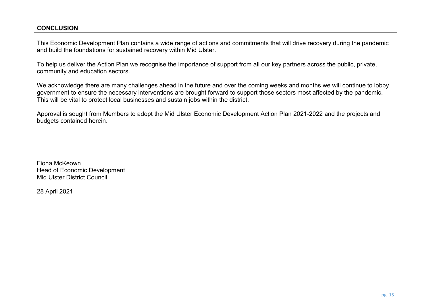#### **CONCLUSION**

This Economic Development Plan contains a wide range of actions and commitments that will drive recovery during the pandemic and build the foundations for sustained recovery within Mid Ulster.

To help us deliver the Action Plan we recognise the importance of support from all our key partners across the public, private, community and education sectors.

We acknowledge there are many challenges ahead in the future and over the coming weeks and months we will continue to lobby government to ensure the necessary interventions are brought forward to support those sectors most affected by the pandemic. This will be vital to protect local businesses and sustain jobs within the district.

Approval is sought from Members to adopt the Mid Ulster Economic Development Action Plan 2021-2022 and the projects and budgets contained herein.

Fiona McKeown Head of Economic Development Mid Ulster District Council

28 April 2021